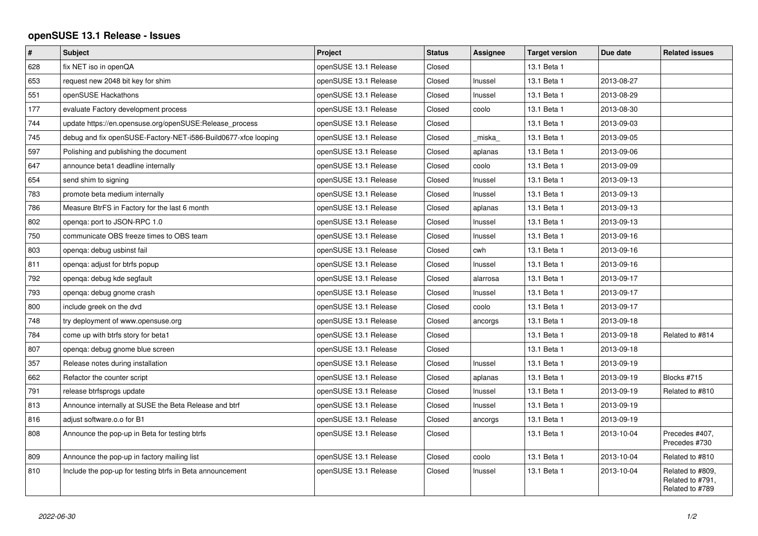## **openSUSE 13.1 Release - Issues**

| $\vert$ # | <b>Subject</b>                                                 | Project               | <b>Status</b> | Assignee | <b>Target version</b> | Due date   | <b>Related issues</b>                                   |
|-----------|----------------------------------------------------------------|-----------------------|---------------|----------|-----------------------|------------|---------------------------------------------------------|
| 628       | fix NET iso in openQA                                          | openSUSE 13.1 Release | Closed        |          | 13.1 Beta 1           |            |                                                         |
| 653       | request new 2048 bit key for shim                              | openSUSE 13.1 Release | Closed        | Inussel  | 13.1 Beta 1           | 2013-08-27 |                                                         |
| 551       | openSUSE Hackathons                                            | openSUSE 13.1 Release | Closed        | Inussel  | 13.1 Beta 1           | 2013-08-29 |                                                         |
| 177       | evaluate Factory development process                           | openSUSE 13.1 Release | Closed        | coolo    | 13.1 Beta 1           | 2013-08-30 |                                                         |
| 744       | update https://en.opensuse.org/openSUSE:Release_process        | openSUSE 13.1 Release | Closed        |          | 13.1 Beta 1           | 2013-09-03 |                                                         |
| 745       | debug and fix openSUSE-Factory-NET-i586-Build0677-xfce looping | openSUSE 13.1 Release | Closed        | miska    | 13.1 Beta 1           | 2013-09-05 |                                                         |
| 597       | Polishing and publishing the document                          | openSUSE 13.1 Release | Closed        | aplanas  | 13.1 Beta 1           | 2013-09-06 |                                                         |
| 647       | announce beta1 deadline internally                             | openSUSE 13.1 Release | Closed        | coolo    | 13.1 Beta 1           | 2013-09-09 |                                                         |
| 654       | send shim to signing                                           | openSUSE 13.1 Release | Closed        | Inussel  | 13.1 Beta 1           | 2013-09-13 |                                                         |
| 783       | promote beta medium internally                                 | openSUSE 13.1 Release | Closed        | Inussel  | 13.1 Beta 1           | 2013-09-13 |                                                         |
| 786       | Measure BtrFS in Factory for the last 6 month                  | openSUSE 13.1 Release | Closed        | aplanas  | 13.1 Beta 1           | 2013-09-13 |                                                         |
| 802       | openga: port to JSON-RPC 1.0                                   | openSUSE 13.1 Release | Closed        | Inussel  | 13.1 Beta 1           | 2013-09-13 |                                                         |
| 750       | communicate OBS freeze times to OBS team                       | openSUSE 13.1 Release | Closed        | Inussel  | 13.1 Beta 1           | 2013-09-16 |                                                         |
| 803       | openga: debug usbinst fail                                     | openSUSE 13.1 Release | Closed        | cwh      | 13.1 Beta 1           | 2013-09-16 |                                                         |
| 811       | openga: adjust for btrfs popup                                 | openSUSE 13.1 Release | Closed        | Inussel  | 13.1 Beta 1           | 2013-09-16 |                                                         |
| 792       | openqa: debug kde segfault                                     | openSUSE 13.1 Release | Closed        | alarrosa | 13.1 Beta 1           | 2013-09-17 |                                                         |
| 793       | openga: debug gnome crash                                      | openSUSE 13.1 Release | Closed        | Inussel  | 13.1 Beta 1           | 2013-09-17 |                                                         |
| 800       | include greek on the dvd                                       | openSUSE 13.1 Release | Closed        | coolo    | 13.1 Beta 1           | 2013-09-17 |                                                         |
| 748       | try deployment of www.opensuse.org                             | openSUSE 13.1 Release | Closed        | ancorgs  | 13.1 Beta 1           | 2013-09-18 |                                                         |
| 784       | come up with btrfs story for beta1                             | openSUSE 13.1 Release | Closed        |          | 13.1 Beta 1           | 2013-09-18 | Related to #814                                         |
| 807       | openqa: debug gnome blue screen                                | openSUSE 13.1 Release | Closed        |          | 13.1 Beta 1           | 2013-09-18 |                                                         |
| 357       | Release notes during installation                              | openSUSE 13.1 Release | Closed        | Inussel  | 13.1 Beta 1           | 2013-09-19 |                                                         |
| 662       | Refactor the counter script                                    | openSUSE 13.1 Release | Closed        | aplanas  | 13.1 Beta 1           | 2013-09-19 | Blocks #715                                             |
| 791       | release btrfsprogs update                                      | openSUSE 13.1 Release | Closed        | Inussel  | 13.1 Beta 1           | 2013-09-19 | Related to #810                                         |
| 813       | Announce internally at SUSE the Beta Release and btrf          | openSUSE 13.1 Release | Closed        | Inussel  | 13.1 Beta 1           | 2013-09-19 |                                                         |
| 816       | adjust software.o.o for B1                                     | openSUSE 13.1 Release | Closed        | ancorgs  | 13.1 Beta 1           | 2013-09-19 |                                                         |
| 808       | Announce the pop-up in Beta for testing btrfs                  | openSUSE 13.1 Release | Closed        |          | 13.1 Beta 1           | 2013-10-04 | Precedes #407.<br>Precedes #730                         |
| 809       | Announce the pop-up in factory mailing list                    | openSUSE 13.1 Release | Closed        | coolo    | 13.1 Beta 1           | 2013-10-04 | Related to #810                                         |
| 810       | Include the pop-up for testing btrfs in Beta announcement      | openSUSE 13.1 Release | Closed        | Inussel  | 13.1 Beta 1           | 2013-10-04 | Related to #809,<br>Related to #791,<br>Related to #789 |